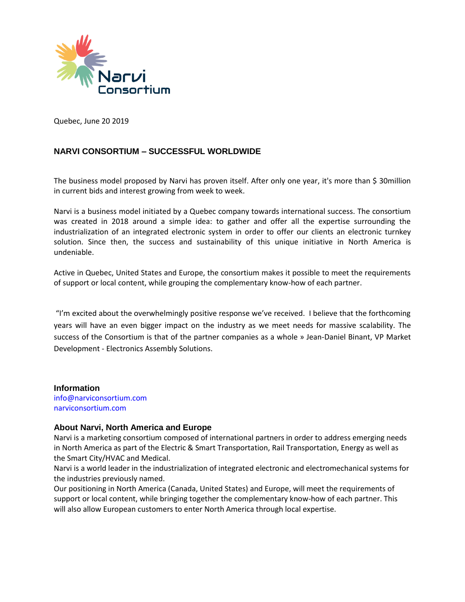

Quebec, June 20 2019

#### **NARVI CONSORTIUM – SUCCESSFUL WORLDWIDE**

The business model proposed by Narvi has proven itself. After only one year, it's more than \$ 30million in current bids and interest growing from week to week.

Narvi is a business model initiated by a Quebec company towards international success. The consortium was created in 2018 around a simple idea: to gather and offer all the expertise surrounding the industrialization of an integrated electronic system in order to offer our clients an electronic turnkey solution. Since then, the success and sustainability of this unique initiative in North America is undeniable.

Active in Quebec, United States and Europe, the consortium makes it possible to meet the requirements of support or local content, while grouping the complementary know-how of each partner.

"I'm excited about the overwhelmingly positive response we've received. I believe that the forthcoming years will have an even bigger impact on the industry as we meet needs for massive scalability. The success of the Consortium is that of the partner companies as a whole » Jean-Daniel Binant, VP Market Development - Electronics Assembly Solutions.

**Information** [info@narviconsortium.com](mailto:info@narviconsortium.com) narviconsortium.com

#### **About Narvi, North America and Europe**

Narvi is a marketing consortium composed of international partners in order to address emerging needs in North America as part of the Electric & Smart Transportation, Rail Transportation, Energy as well as the Smart City/HVAC and Medical.

Narvi is a world leader in the industrialization of integrated electronic and electromechanical systems for the industries previously named.

Our positioning in North America (Canada, United States) and Europe, will meet the requirements of support or local content, while bringing together the complementary know-how of each partner. This will also allow European customers to enter North America through local expertise.